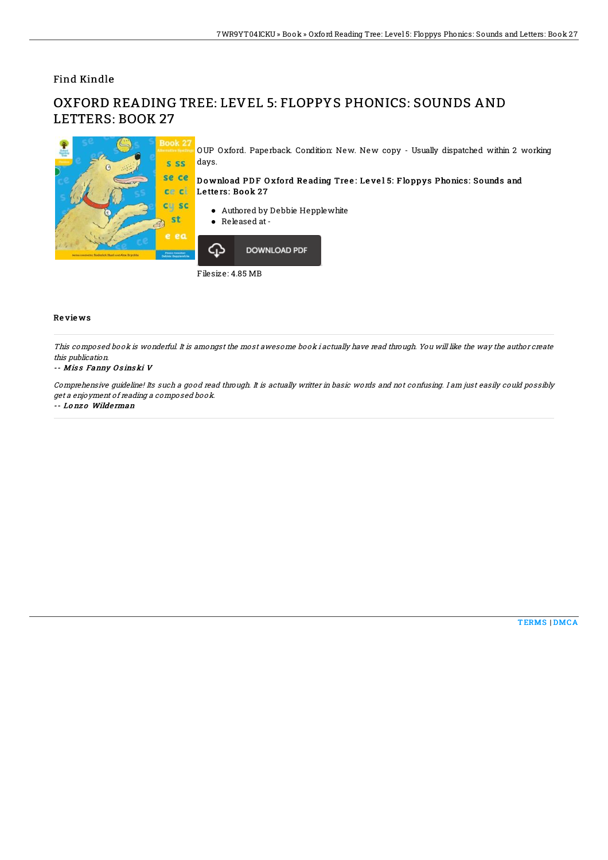Find Kindle

# OXFORD READING TREE: LEVEL 5: FLOPPYS PHONICS: SOUNDS AND LETTERS: BOOK 27



OUP Oxford. Paperback. Condition: New. New copy - Usually dispatched within 2 working days.

### Download PDF Oxford Reading Tree: Level 5: Floppys Phonics: Sounds and Letters: Book 27

- Authored by Debbie Hepplewhite
- Released at -



Filesize: 4.85 MB

### Re vie ws

This composed book is wonderful. It is amongst the most awesome book i actually have read through. You will like the way the author create this publication.

#### -- Miss Fanny Osinski V

Comprehensive guideline! Its such <sup>a</sup> good read through. It is actually writter in basic words and not confusing. I am just easily could possibly get <sup>a</sup> enjoyment of reading <sup>a</sup> composed book.

-- Lo nz o Wilde rman